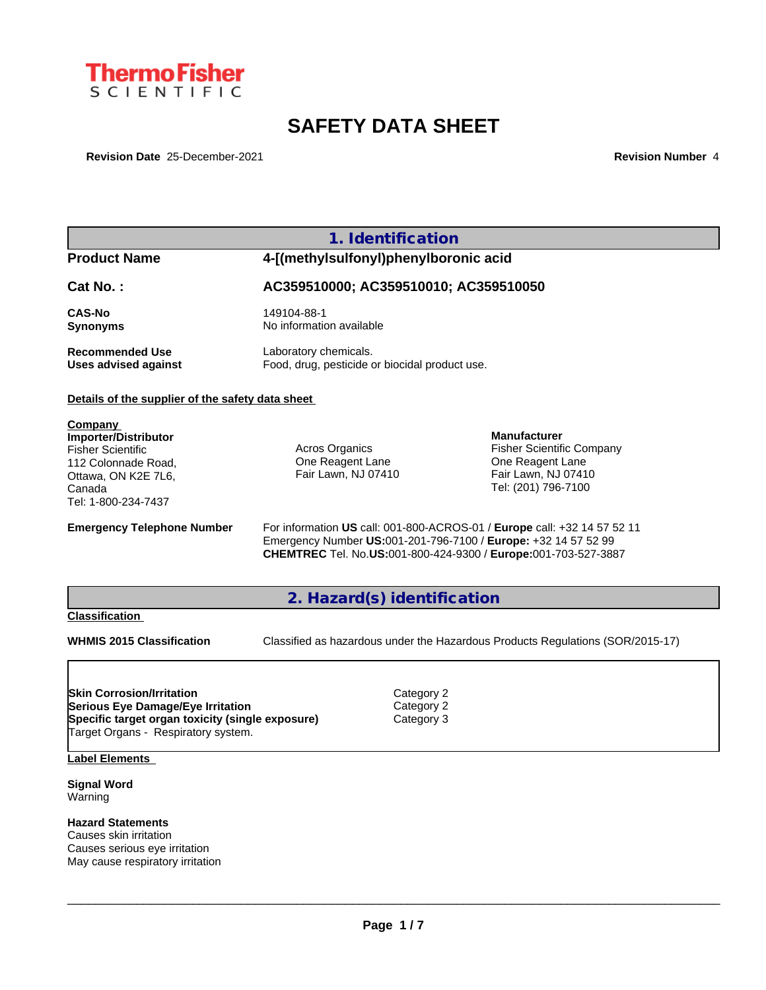

# **SAFETY DATA SHEET**

**Revision Date** 25-December-2021 **Revision Number** 4

### **1. Identification**

## **Product Name 4-[(methylsulfonyl)phenylboronic acid**

**Cat No. : AC359510000; AC359510010; AC359510050**

**Recommended Use** Laboratory chemicals.<br> **Uses advised against** Food, drug, pesticide of

**CAS-No** 149104-88-1 **Synonyms** No information available

Food, drug, pesticide or biocidal product use.

#### **Details of the supplier of the safety data sheet**

**Company Importer/Distributor** Fisher Scientific 112 Colonnade Road, Ottawa, ON K2E 7L6, Canada Tel: 1-800-234-7437

Acros Organics One Reagent Lane Fair Lawn, NJ 07410

**Manufacturer** Fisher Scientific Company One Reagent Lane Fair Lawn, NJ 07410 Tel: (201) 796-7100

**Emergency Telephone Number** For information **US** call: 001-800-ACROS-01 / **Europe** call: +32 14 57 52 11 Emergency Number **US:**001-201-796-7100 / **Europe:** +32 14 57 52 99 **CHEMTREC** Tel. No.**US:**001-800-424-9300 / **Europe:**001-703-527-3887

**2. Hazard(s) identification**

#### **Classification**

**WHMIS 2015 Classification** Classified as hazardous under the Hazardous Products Regulations (SOR/2015-17)

 $\_$  ,  $\_$  ,  $\_$  ,  $\_$  ,  $\_$  ,  $\_$  ,  $\_$  ,  $\_$  ,  $\_$  ,  $\_$  ,  $\_$  ,  $\_$  ,  $\_$  ,  $\_$  ,  $\_$  ,  $\_$  ,  $\_$  ,  $\_$  ,  $\_$  ,  $\_$  ,  $\_$  ,  $\_$  ,  $\_$  ,  $\_$  ,  $\_$  ,  $\_$  ,  $\_$  ,  $\_$  ,  $\_$  ,  $\_$  ,  $\_$  ,  $\_$  ,  $\_$  ,  $\_$  ,  $\_$  ,  $\_$  ,  $\_$  ,

**Skin Corrosion/Irritation** Category 2 **Serious Eye Damage/Eye Irritation** Category 2 **Specific target organ toxicity (single exposure) Category 3** Target Organs - Respiratory system.

**Label Elements**

**Signal Word** Warning

**Hazard Statements**

Causes skin irritation Causes serious eye irritation May cause respiratory irritation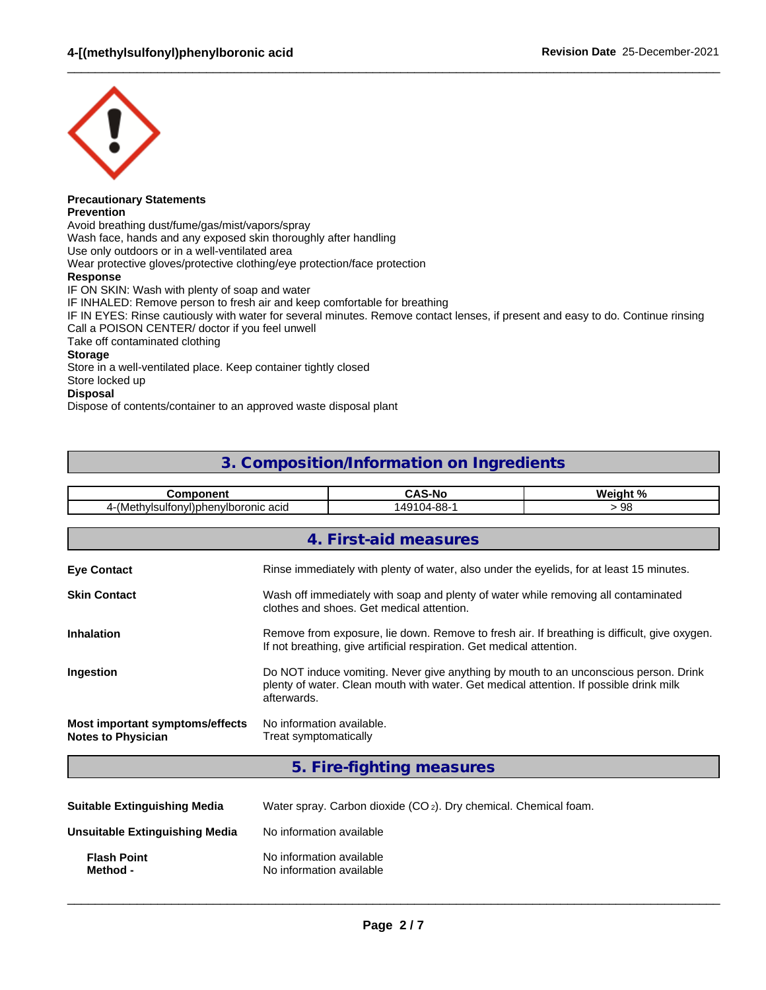

#### **Precautionary Statements Prevention**

Avoid breathing dust/fume/gas/mist/vapors/spray Wash face, hands and any exposed skin thoroughly after handling Use only outdoors or in a well-ventilated area Wear protective gloves/protective clothing/eye protection/face protection **Response** IF ON SKIN: Wash with plenty of soap and water IF INHALED: Remove person to fresh air and keep comfortable for breathing IF IN EYES: Rinse cautiously with water for several minutes. Remove contact lenses, if present and easy to do. Continue rinsing Call a POISON CENTER/ doctor if you feel unwell Take off contaminated clothing **Storage** Store in a well-ventilated place. Keep container tightly closed Store locked up **Disposal**

 $\_$  ,  $\_$  ,  $\_$  ,  $\_$  ,  $\_$  ,  $\_$  ,  $\_$  ,  $\_$  ,  $\_$  ,  $\_$  ,  $\_$  ,  $\_$  ,  $\_$  ,  $\_$  ,  $\_$  ,  $\_$  ,  $\_$  ,  $\_$  ,  $\_$  ,  $\_$  ,  $\_$  ,  $\_$  ,  $\_$  ,  $\_$  ,  $\_$  ,  $\_$  ,  $\_$  ,  $\_$  ,  $\_$  ,  $\_$  ,  $\_$  ,  $\_$  ,  $\_$  ,  $\_$  ,  $\_$  ,  $\_$  ,  $\_$  ,

Dispose of contents/container to an approved waste disposal plant

### **3. Composition/Information on Ingredients**

| <b>Component</b>                                                                                                   | <b>CAS-No</b><br>Weight %                                                                                                                                             |                                                                                                                                                                                |  |  |  |  |  |  |
|--------------------------------------------------------------------------------------------------------------------|-----------------------------------------------------------------------------------------------------------------------------------------------------------------------|--------------------------------------------------------------------------------------------------------------------------------------------------------------------------------|--|--|--|--|--|--|
|                                                                                                                    | 4-(Methylsulfonyl)phenylboronic acid<br>149104-88-1<br>>98                                                                                                            |                                                                                                                                                                                |  |  |  |  |  |  |
|                                                                                                                    |                                                                                                                                                                       | 4. First-aid measures                                                                                                                                                          |  |  |  |  |  |  |
| <b>Eye Contact</b>                                                                                                 |                                                                                                                                                                       | Rinse immediately with plenty of water, also under the eyelids, for at least 15 minutes.                                                                                       |  |  |  |  |  |  |
| <b>Skin Contact</b>                                                                                                |                                                                                                                                                                       | Wash off immediately with soap and plenty of water while removing all contaminated<br>clothes and shoes. Get medical attention.                                                |  |  |  |  |  |  |
| <b>Inhalation</b>                                                                                                  | Remove from exposure, lie down. Remove to fresh air. If breathing is difficult, give oxygen.<br>If not breathing, give artificial respiration. Get medical attention. |                                                                                                                                                                                |  |  |  |  |  |  |
| Ingestion                                                                                                          | afterwards.                                                                                                                                                           | Do NOT induce vomiting. Never give anything by mouth to an unconscious person. Drink<br>plenty of water. Clean mouth with water. Get medical attention. If possible drink milk |  |  |  |  |  |  |
| Most important symptoms/effects<br>No information available.<br><b>Notes to Physician</b><br>Treat symptomatically |                                                                                                                                                                       |                                                                                                                                                                                |  |  |  |  |  |  |
|                                                                                                                    |                                                                                                                                                                       | 5. Fire-fighting measures                                                                                                                                                      |  |  |  |  |  |  |
| <b>Suitable Extinguiching Media</b>                                                                                |                                                                                                                                                                       | Water spray, Carbon diovide $(CO_2)$ , Dry chemical, Chemical foam                                                                                                             |  |  |  |  |  |  |

| <b>Suitable Extinguishing Media</b> | Water spray. Carbon dioxide (CO <sub>2</sub> ). Dry chemical. Chemical foam. |
|-------------------------------------|------------------------------------------------------------------------------|
| Unsuitable Extinguishing Media      | No information available                                                     |
| <b>Flash Point</b><br>Method -      | No information available<br>No information available                         |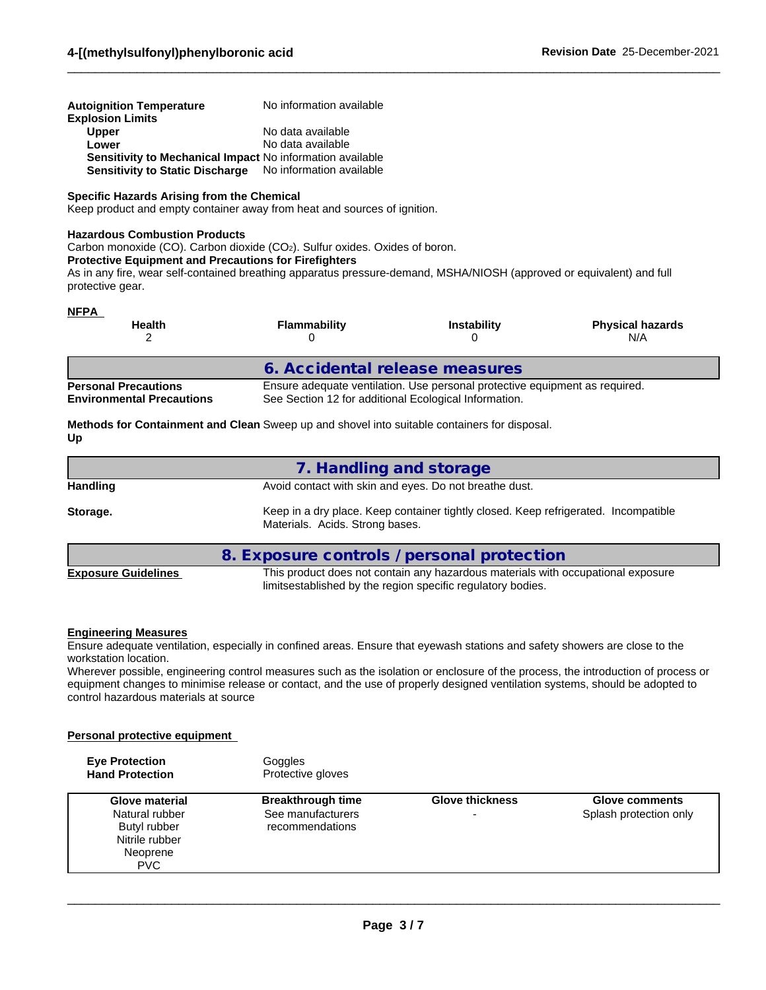| <b>Autoignition Temperature</b><br><b>Explosion Limits</b>       | No information available |
|------------------------------------------------------------------|--------------------------|
| <b>Upper</b>                                                     | No data available        |
| Lower                                                            | No data available        |
| <b>Sensitivity to Mechanical Impact No information available</b> |                          |
| Sensitivity to Static Discharge No information available         |                          |

#### **Specific Hazards Arising from the Chemical**

Keep product and empty container away from heat and sources of ignition.

#### **Hazardous Combustion Products**

Carbon monoxide (CO). Carbon dioxide (CO<sub>2</sub>). Sulfur oxides. Oxides of boron.

#### **Protective Equipment and Precautions for Firefighters**

As in any fire, wear self-contained breathing apparatus pressure-demand, MSHA/NIOSH (approved or equivalent) and full protective gear.

 $\_$  ,  $\_$  ,  $\_$  ,  $\_$  ,  $\_$  ,  $\_$  ,  $\_$  ,  $\_$  ,  $\_$  ,  $\_$  ,  $\_$  ,  $\_$  ,  $\_$  ,  $\_$  ,  $\_$  ,  $\_$  ,  $\_$  ,  $\_$  ,  $\_$  ,  $\_$  ,  $\_$  ,  $\_$  ,  $\_$  ,  $\_$  ,  $\_$  ,  $\_$  ,  $\_$  ,  $\_$  ,  $\_$  ,  $\_$  ,  $\_$  ,  $\_$  ,  $\_$  ,  $\_$  ,  $\_$  ,  $\_$  ,  $\_$  ,

#### **NFPA**

| ______<br><b>Health</b>                                         | <b>Flammability</b>                                   | <b>Instability</b>                                                          | <b>Physical hazards</b><br>N/A |
|-----------------------------------------------------------------|-------------------------------------------------------|-----------------------------------------------------------------------------|--------------------------------|
|                                                                 | 6. Accidental release measures                        |                                                                             |                                |
| <b>Personal Precautions</b><br><b>Environmental Precautions</b> | See Section 12 for additional Ecological Information. | Ensure adequate ventilation. Use personal protective equipment as required. |                                |

**Methods for Containment and Clean** Sweep up and shovel into suitable containers for disposal. **Up**

|                 | 7. Handling and storage                                                                                                |
|-----------------|------------------------------------------------------------------------------------------------------------------------|
| <b>Handling</b> | Avoid contact with skin and eyes. Do not breathe dust.                                                                 |
| Storage.        | Keep in a dry place. Keep container tightly closed. Keep refrigerated. Incompatible<br>Materials. Acids. Strong bases. |
|                 | 8. Exposure controls / personal protection                                                                             |

**Exposure Guidelines** This product does not contain any hazardous materials with occupational exposure limitsestablished by the region specific regulatory bodies.

#### **Engineering Measures**

Ensure adequate ventilation, especially in confined areas. Ensure that eyewash stations and safety showers are close to the workstation location.

Wherever possible, engineering control measures such as the isolation or enclosure of the process, the introduction of process or equipment changes to minimise release or contact, and the use of properly designed ventilation systems, should be adopted to control hazardous materials at source

#### **Personal protective equipment**

| <b>Eye Protection</b><br><b>Hand Protection</b>                                              | Goggles<br>Protective gloves                                     |                             |                                                 |
|----------------------------------------------------------------------------------------------|------------------------------------------------------------------|-----------------------------|-------------------------------------------------|
| Glove material<br>Natural rubber<br>Butyl rubber<br>Nitrile rubber<br>Neoprene<br><b>PVC</b> | <b>Breakthrough time</b><br>See manufacturers<br>recommendations | <b>Glove thickness</b><br>- | <b>Glove comments</b><br>Splash protection only |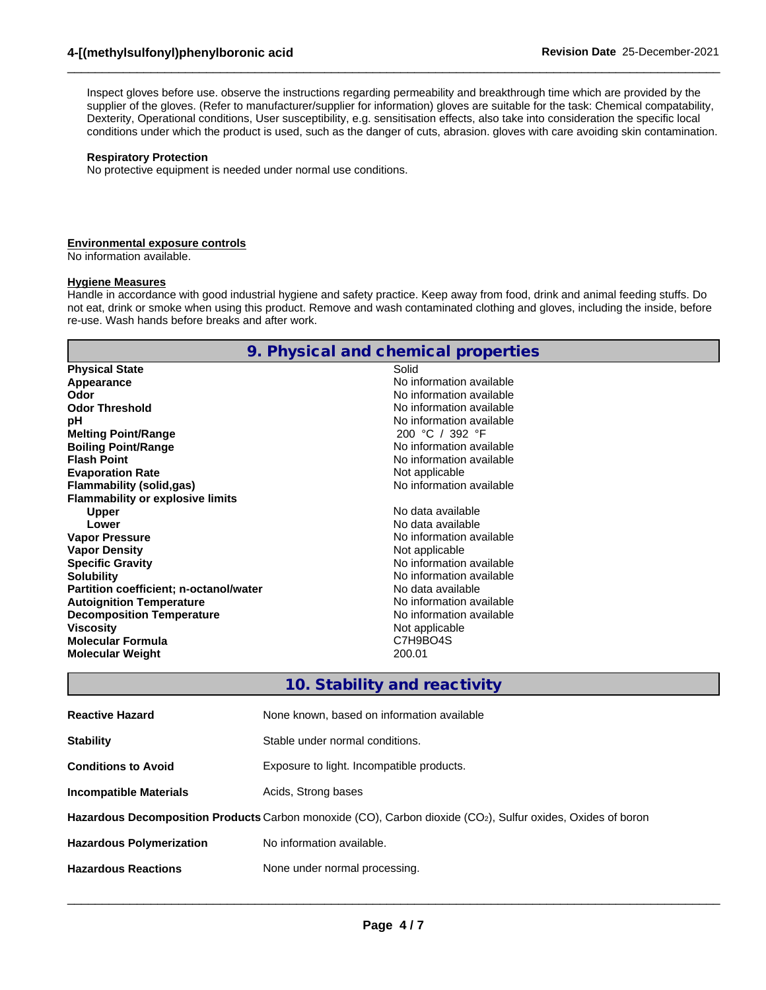Inspect gloves before use. observe the instructions regarding permeability and breakthrough time which are provided by the supplier of the gloves. (Refer to manufacturer/supplier for information) gloves are suitable for the task: Chemical compatability, Dexterity, Operational conditions, User susceptibility, e.g. sensitisation effects, also take into consideration the specific local conditions under which the product is used, such as the danger of cuts, abrasion. gloves with care avoiding skin contamination.

 $\_$  ,  $\_$  ,  $\_$  ,  $\_$  ,  $\_$  ,  $\_$  ,  $\_$  ,  $\_$  ,  $\_$  ,  $\_$  ,  $\_$  ,  $\_$  ,  $\_$  ,  $\_$  ,  $\_$  ,  $\_$  ,  $\_$  ,  $\_$  ,  $\_$  ,  $\_$  ,  $\_$  ,  $\_$  ,  $\_$  ,  $\_$  ,  $\_$  ,  $\_$  ,  $\_$  ,  $\_$  ,  $\_$  ,  $\_$  ,  $\_$  ,  $\_$  ,  $\_$  ,  $\_$  ,  $\_$  ,  $\_$  ,  $\_$  ,

#### **Respiratory Protection**

No protective equipment is needed under normal use conditions.

#### **Environmental exposure controls**

No information available.

#### **Hygiene Measures**

Handle in accordance with good industrial hygiene and safety practice. Keep away from food, drink and animal feeding stuffs. Do not eat, drink or smoke when using this product. Remove and wash contaminated clothing and gloves, including the inside, before re-use. Wash hands before breaks and after work.

|                                         | 9. Physical and chemical properties |
|-----------------------------------------|-------------------------------------|
| <b>Physical State</b>                   | Solid                               |
| Appearance                              | No information available            |
| Odor                                    | No information available            |
| <b>Odor Threshold</b>                   | No information available            |
| рH                                      | No information available            |
| <b>Melting Point/Range</b>              | 200 °C / 392 °F                     |
| <b>Boiling Point/Range</b>              | No information available            |
| <b>Flash Point</b>                      | No information available            |
| <b>Evaporation Rate</b>                 | Not applicable                      |
| Flammability (solid,gas)                | No information available            |
| <b>Flammability or explosive limits</b> |                                     |
| <b>Upper</b>                            | No data available                   |
| Lower                                   | No data available                   |
| <b>Vapor Pressure</b>                   | No information available            |
| <b>Vapor Density</b>                    | Not applicable                      |
| <b>Specific Gravity</b>                 | No information available            |
| <b>Solubility</b>                       | No information available            |
| Partition coefficient; n-octanol/water  | No data available                   |
| <b>Autoignition Temperature</b>         | No information available            |
| <b>Decomposition Temperature</b>        | No information available            |
| <b>Viscosity</b>                        | Not applicable                      |
| <b>Molecular Formula</b>                | C7H9BO4S                            |
| <b>Molecular Weight</b>                 | 200.01                              |
|                                         |                                     |

### **10. Stability and reactivity**

| <b>Reactive Hazard</b>          | None known, based on information available                                                                  |
|---------------------------------|-------------------------------------------------------------------------------------------------------------|
| <b>Stability</b>                | Stable under normal conditions.                                                                             |
| <b>Conditions to Avoid</b>      | Exposure to light. Incompatible products.                                                                   |
| <b>Incompatible Materials</b>   | Acids, Strong bases                                                                                         |
|                                 | Hazardous Decomposition Products Carbon monoxide (CO), Carbon dioxide (CO2), Sulfur oxides, Oxides of boron |
| <b>Hazardous Polymerization</b> | No information available.                                                                                   |
| <b>Hazardous Reactions</b>      | None under normal processing.                                                                               |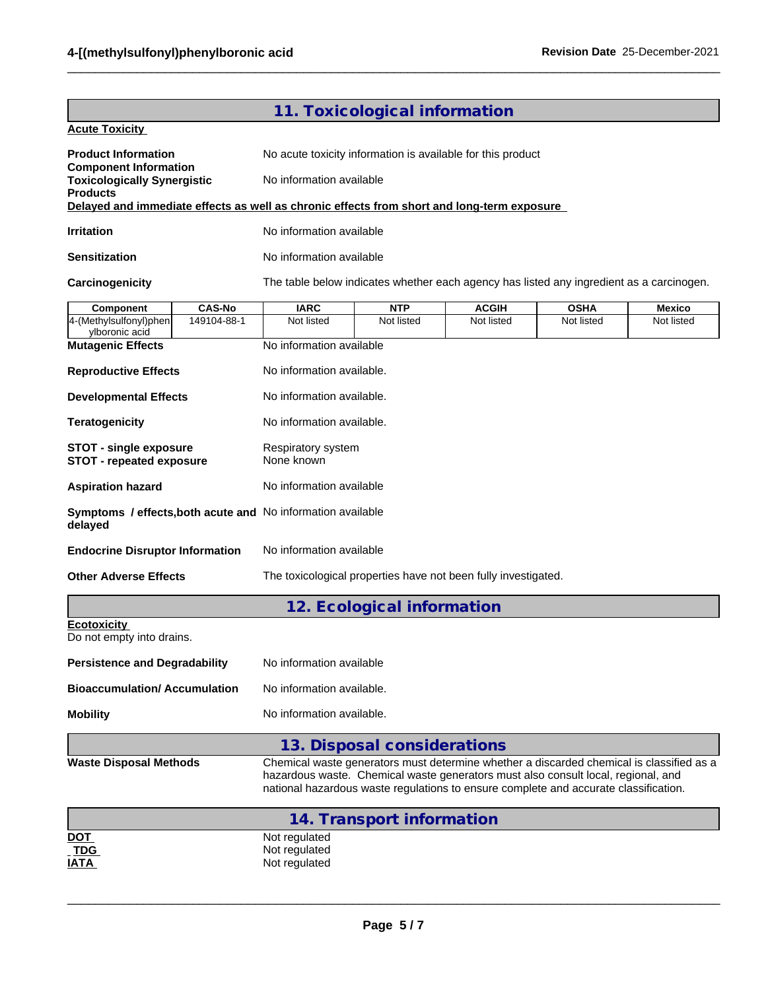|                                                                                            |                                                                                                                                                                                                                                                                       | 11. Toxicological information                               |              |             |            |  |  |  |  |  |  |
|--------------------------------------------------------------------------------------------|-----------------------------------------------------------------------------------------------------------------------------------------------------------------------------------------------------------------------------------------------------------------------|-------------------------------------------------------------|--------------|-------------|------------|--|--|--|--|--|--|
| <b>Acute Toxicity</b>                                                                      |                                                                                                                                                                                                                                                                       |                                                             |              |             |            |  |  |  |  |  |  |
| <b>Product Information</b>                                                                 |                                                                                                                                                                                                                                                                       | No acute toxicity information is available for this product |              |             |            |  |  |  |  |  |  |
| <b>Component Information</b><br><b>Toxicologically Synergistic</b><br><b>Products</b>      |                                                                                                                                                                                                                                                                       | No information available                                    |              |             |            |  |  |  |  |  |  |
| Delayed and immediate effects as well as chronic effects from short and long-term exposure |                                                                                                                                                                                                                                                                       |                                                             |              |             |            |  |  |  |  |  |  |
| <b>Irritation</b>                                                                          |                                                                                                                                                                                                                                                                       | No information available                                    |              |             |            |  |  |  |  |  |  |
| <b>Sensitization</b>                                                                       | No information available                                                                                                                                                                                                                                              |                                                             |              |             |            |  |  |  |  |  |  |
| <b>Carcinogenicity</b>                                                                     | The table below indicates whether each agency has listed any ingredient as a carcinogen.                                                                                                                                                                              |                                                             |              |             |            |  |  |  |  |  |  |
| <b>CAS-No</b><br>Component                                                                 | <b>IARC</b>                                                                                                                                                                                                                                                           | <b>NTP</b>                                                  | <b>ACGIH</b> | <b>OSHA</b> | Mexico     |  |  |  |  |  |  |
| 4-(Methylsulfonyl)phen<br>149104-88-1<br>ylboronic acid                                    | Not listed                                                                                                                                                                                                                                                            | Not listed                                                  | Not listed   | Not listed  | Not listed |  |  |  |  |  |  |
| <b>Mutagenic Effects</b>                                                                   | No information available                                                                                                                                                                                                                                              |                                                             |              |             |            |  |  |  |  |  |  |
| <b>Reproductive Effects</b>                                                                | No information available.                                                                                                                                                                                                                                             |                                                             |              |             |            |  |  |  |  |  |  |
| <b>Developmental Effects</b>                                                               | No information available.                                                                                                                                                                                                                                             |                                                             |              |             |            |  |  |  |  |  |  |
| <b>Teratogenicity</b>                                                                      | No information available.                                                                                                                                                                                                                                             |                                                             |              |             |            |  |  |  |  |  |  |
| <b>STOT - single exposure</b><br><b>STOT - repeated exposure</b>                           | Respiratory system<br>None known                                                                                                                                                                                                                                      |                                                             |              |             |            |  |  |  |  |  |  |
| <b>Aspiration hazard</b>                                                                   | No information available                                                                                                                                                                                                                                              |                                                             |              |             |            |  |  |  |  |  |  |
| Symptoms / effects, both acute and No information available<br>delayed                     |                                                                                                                                                                                                                                                                       |                                                             |              |             |            |  |  |  |  |  |  |
| <b>Endocrine Disruptor Information</b>                                                     | No information available                                                                                                                                                                                                                                              |                                                             |              |             |            |  |  |  |  |  |  |
| <b>Other Adverse Effects</b>                                                               | The toxicological properties have not been fully investigated.                                                                                                                                                                                                        |                                                             |              |             |            |  |  |  |  |  |  |
|                                                                                            |                                                                                                                                                                                                                                                                       | 12. Ecological information                                  |              |             |            |  |  |  |  |  |  |
| <b>Ecotoxicity</b><br>Do not empty into drains.                                            |                                                                                                                                                                                                                                                                       |                                                             |              |             |            |  |  |  |  |  |  |
| <b>Persistence and Degradability</b>                                                       | No information available                                                                                                                                                                                                                                              |                                                             |              |             |            |  |  |  |  |  |  |
| <b>Bioaccumulation/ Accumulation</b>                                                       | No information available.                                                                                                                                                                                                                                             |                                                             |              |             |            |  |  |  |  |  |  |
| <b>Mobility</b>                                                                            | No information available.                                                                                                                                                                                                                                             |                                                             |              |             |            |  |  |  |  |  |  |
|                                                                                            |                                                                                                                                                                                                                                                                       | 13. Disposal considerations                                 |              |             |            |  |  |  |  |  |  |
| <b>Waste Disposal Methods</b>                                                              | Chemical waste generators must determine whether a discarded chemical is classified as a<br>hazardous waste. Chemical waste generators must also consult local, regional, and<br>national hazardous waste regulations to ensure complete and accurate classification. |                                                             |              |             |            |  |  |  |  |  |  |
|                                                                                            |                                                                                                                                                                                                                                                                       | 14. Transport information                                   |              |             |            |  |  |  |  |  |  |
| <u>DOT</u><br><b>TDG</b><br><u>IATA </u>                                                   | Not regulated<br>Not regulated<br>Not regulated                                                                                                                                                                                                                       |                                                             |              |             |            |  |  |  |  |  |  |

 $\_$  ,  $\_$  ,  $\_$  ,  $\_$  ,  $\_$  ,  $\_$  ,  $\_$  ,  $\_$  ,  $\_$  ,  $\_$  ,  $\_$  ,  $\_$  ,  $\_$  ,  $\_$  ,  $\_$  ,  $\_$  ,  $\_$  ,  $\_$  ,  $\_$  ,  $\_$  ,  $\_$  ,  $\_$  ,  $\_$  ,  $\_$  ,  $\_$  ,  $\_$  ,  $\_$  ,  $\_$  ,  $\_$  ,  $\_$  ,  $\_$  ,  $\_$  ,  $\_$  ,  $\_$  ,  $\_$  ,  $\_$  ,  $\_$  ,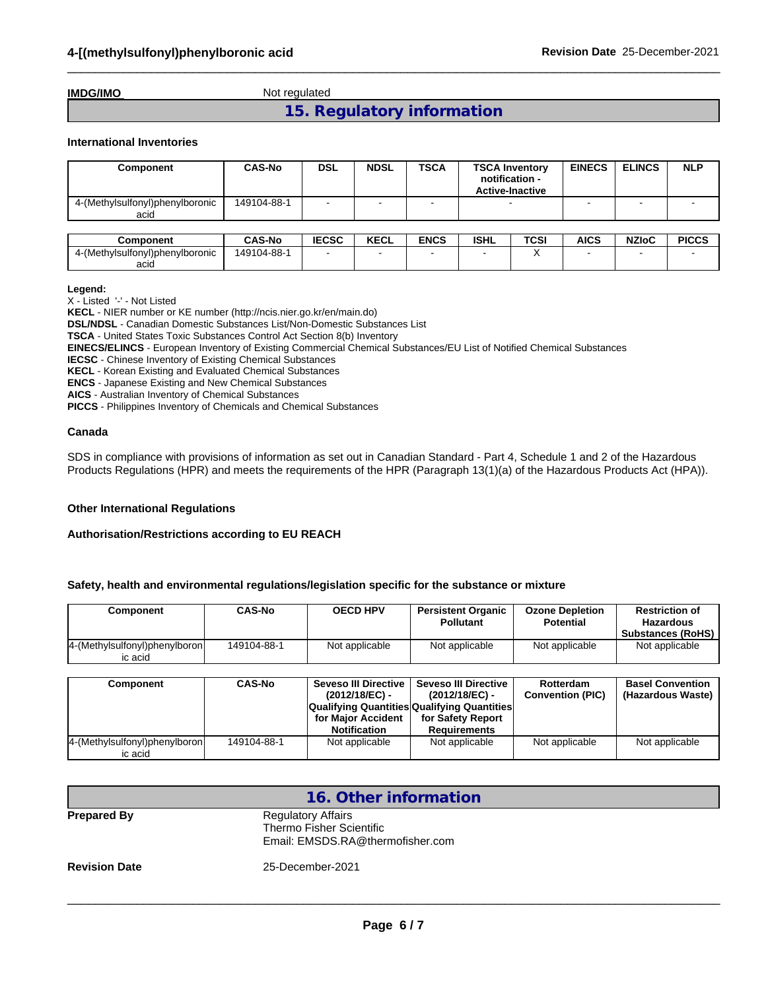**IMDG/IMO** Not regulated

**15. Regulatory information**

 $\_$  ,  $\_$  ,  $\_$  ,  $\_$  ,  $\_$  ,  $\_$  ,  $\_$  ,  $\_$  ,  $\_$  ,  $\_$  ,  $\_$  ,  $\_$  ,  $\_$  ,  $\_$  ,  $\_$  ,  $\_$  ,  $\_$  ,  $\_$  ,  $\_$  ,  $\_$  ,  $\_$  ,  $\_$  ,  $\_$  ,  $\_$  ,  $\_$  ,  $\_$  ,  $\_$  ,  $\_$  ,  $\_$  ,  $\_$  ,  $\_$  ,  $\_$  ,  $\_$  ,  $\_$  ,  $\_$  ,  $\_$  ,  $\_$  ,

#### **International Inventories**

| Component                               | <b>CAS-No</b> | <b>DSL</b> | <b>NDSL</b> | <b>TSCA</b> | <b>TSCA Inventory</b><br>notification -<br><b>Active-Inactive</b> | <b>EINECS</b> | <b>ELINCS</b> | <b>NLP</b> |
|-----------------------------------------|---------------|------------|-------------|-------------|-------------------------------------------------------------------|---------------|---------------|------------|
| 4-(Methylsulfonyl)phenylboronic<br>acid | 149104-88-1   |            |             |             |                                                                   |               |               |            |

| <b>Component</b>                | <b>CAS-No</b> | <b>IECSC</b> | <b>KECL</b> | <b>ENCS</b> | <b>ISHL</b> | TCSI | <b>AICS</b> | <b>NZIoC</b> | <b>PICCS</b> |
|---------------------------------|---------------|--------------|-------------|-------------|-------------|------|-------------|--------------|--------------|
| 4-(Methylsulfonyl)phenylboronic | 149104-88-    |              |             |             |             |      |             |              |              |
| acid                            |               |              |             |             |             |      |             |              |              |

**Legend:**

X - Listed '-' - Not Listed

**KECL** - NIER number or KE number (http://ncis.nier.go.kr/en/main.do)

**DSL/NDSL** - Canadian Domestic Substances List/Non-Domestic Substances List

**TSCA** - United States Toxic Substances Control Act Section 8(b) Inventory

**EINECS/ELINCS** - European Inventory of Existing Commercial Chemical Substances/EU List of Notified Chemical Substances

**IECSC** - Chinese Inventory of Existing Chemical Substances

**KECL** - Korean Existing and Evaluated Chemical Substances

**ENCS** - Japanese Existing and New Chemical Substances

**AICS** - Australian Inventory of Chemical Substances

**PICCS** - Philippines Inventory of Chemicals and Chemical Substances

#### **Canada**

SDS in compliance with provisions of information as set out in Canadian Standard - Part 4, Schedule 1 and 2 of the Hazardous Products Regulations (HPR) and meets the requirements of the HPR (Paragraph 13(1)(a) of the Hazardous Products Act (HPA)).

#### **Other International Regulations**

#### **Authorisation/Restrictions according to EU REACH**

#### **Safety, health and environmental regulations/legislation specific for the substance or mixture**

| Component                                | CAS-No      | <b>OECD HPV</b> | <b>Persistent Organic</b><br><b>Pollutant</b> | <b>Ozone Depletion</b><br><b>Potential</b> | <b>Restriction of</b><br>Hazardous<br><b>Substances (RoHS)</b> |
|------------------------------------------|-------------|-----------------|-----------------------------------------------|--------------------------------------------|----------------------------------------------------------------|
| 4-(Methylsulfonyl)phenylboron<br>ic acid | 149104-88-1 | Not applicable  | Not applicable                                | Not applicable                             | Not applicable                                                 |

| Component                                | <b>CAS-No</b> | Seveso III Directive<br>(2012/18/EC) -<br><b>Qualifying Quantities Qualifying Quantities</b><br>for Maior Accident<br><b>Notification</b> | Seveso III Directive I<br>$(2012/18/EC)$ -<br>for Safety Report<br>Requirements | Rotterdam<br><b>Convention (PIC)</b> | <b>Basel Convention</b><br>(Hazardous Waste) |
|------------------------------------------|---------------|-------------------------------------------------------------------------------------------------------------------------------------------|---------------------------------------------------------------------------------|--------------------------------------|----------------------------------------------|
| 4-(Methylsulfonyl)phenylboron<br>ic acid | 149104-88-1   | Not applicable                                                                                                                            | Not applicable                                                                  | Not applicable                       | Not applicable                               |

| 16. Other information |                                                                                           |  |  |  |
|-----------------------|-------------------------------------------------------------------------------------------|--|--|--|
| <b>Prepared By</b>    | <b>Regulatory Affairs</b><br>Thermo Fisher Scientific<br>Email: EMSDS.RA@thermofisher.com |  |  |  |
| <b>Revision Date</b>  | 25-December-2021                                                                          |  |  |  |